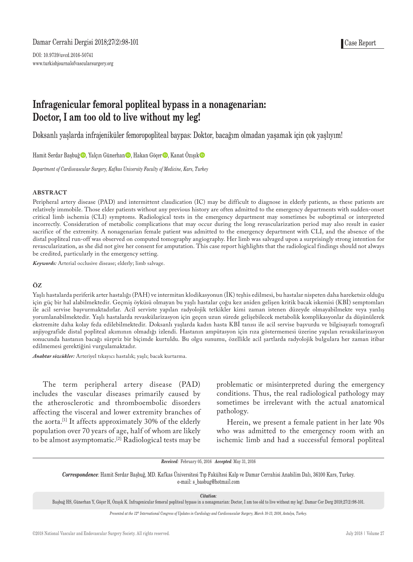DOI: 10.9739/uvcd.2016-50741 www.turkishjournalofvascularsurgery.org

# **Infragenicular femoral popliteal bypass in a nonagenarian: Doctor, I am too old to live without my leg!**

Doksanlı yaşlarda infrajeniküler femoropopliteal baypas: Doktor, bacağım olmadan yaşamak için çok yaşlıyım!

Hamit Serdar Başbuğ **D**, Yalçın Günerhan **D**, Hakan Göçer **D**, Kanat Özışık **D** 

*Department of Cardiovascular Surgery, Kafkas University Faculty of Medicine, Kars, Turkey*

#### **ABSTRACT**

Peripheral artery disease (PAD) and intermittent claudication (IC) may be difficult to diagnose in elderly patients, as these patients are relatively immobile. Those elder patients without any previous history are often admitted to the emergency departments with sudden-onset critical limb ischemia (CLI) symptoms. Radiological tests in the emergency department may sometimes be suboptimal or interpreted incorrectly. Consideration of metabolic complications that may occur during the long revascularization period may also result in easier sacrifice of the extremity. A nonagenarian female patient was admitted to the emergency department with CLI, and the absence of the distal popliteal run-off was observed on computed tomography angiography. Her limb was salvaged upon a surprisingly strong intention for revascularization, as she did not give her consent for amputation. This case report highlights that the radiological findings should not always be credited, particularly in the emergency setting.

*Keywords:* Arterial occlusive disease; elderly; limb salvage.

#### **ÖZ**

Yaşlı hastalarda periferik arter hastalığı (PAH) ve intermitan klodikasyonun (İK) teşhis edilmesi, bu hastalar nispeten daha hareketsiz olduğu için güç bir hal alabilmektedir. Geçmiş öyküsü olmayan bu yaşlı hastalar çoğu kez aniden gelişen kritik bacak iskemisi (KBİ) semptomları ile acil servise başvurmaktadırlar. Acil serviste yapılan radyolojik tetkikler kimi zaman istenen düzeyde olmayabilmekte veya yanlış yorumlanabilmektedir. Yaşlı hastalarda revaskülarizasyon için geçen uzun sürede gelişebilecek metabolik komplikasyonlar da düşünülerek ekstremite daha kolay feda edilebilmektedir. Doksanlı yaşlarda kadın hasta KBİ tanısı ile acil servise başvurdu ve bilgisayarlı tomografi anjiyografide distal popliteal akımının olmadığı izlendi. Hastanın ampütasyon için rıza göstermemesi üzerine yapılan revaskülarizasyon sonucunda hastanın bacağı sürpriz bir biçimde kurtuldu. Bu olgu sunumu, özellikle acil şartlarda radyolojik bulgulara her zaman itibar edilmemesi gerektiğini vurgulamaktadır.

*Anahtar sözcükler:* Arteriyel tıkayıcı hastalık; yaşlı; bacak kurtarma.

The term peripheral artery disease (PAD) includes the vascular diseases primarily caused by the atherosclerotic and thromboembolic disorders affecting the visceral and lower extremity branches of the aorta.[1] It affects approximately 30% of the elderly population over 70 years of age, half of whom are likely to be almost asymptomatic.[2] Radiological tests may be

problematic or misinterpreted during the emergency conditions. Thus, the real radiological pathology may sometimes be irrelevant with the actual anatomical pathology.

Herein, we present a female patient in her late 90s who was admitted to the emergency room with an ischemic limb and had a successful femoral popliteal

#### *Received:* February 05, 2016 *Accepted:* May 31, 2016

*Correspondence:* Hamit Serdar Başbuğ, MD. Kafkas Üniversitesi Tıp Fakültesi Kalp ve Damar Cerrahisi Anabilim Dalı, 36100 Kars, Turkey. e-mail: s\_basbug@hotmail.com

*Citation:*

Başbuğ HS, Günerhan Y, Göçer H, Özışık K. Infragenicular femoral popliteal bypass in a nonagenarian: Doctor, I am too old to live without my leg!. Damar Cer Derg 2018;27(2):98-101.

*Presented at the 12th International Congress of Updates in Cardiology and Cardiovascular Surgery, March 10-13, 2016, Antalya, Turkey.*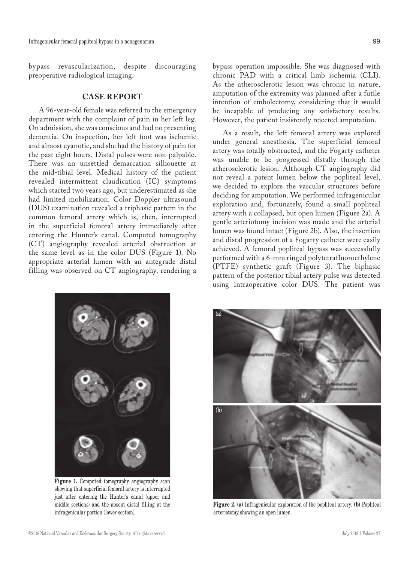bypass revascularization, despite discouraging preoperative radiological imaging.

## **CASE REPORT**

A 96-year-old female was referred to the emergency department with the complaint of pain in her left leg. On admission, she was conscious and had no presenting dementia. On inspection, her left foot was ischemic and almost cyanotic, and she had the history of pain for the past eight hours. Distal pulses were non-palpable. There was an unsettled demarcation silhouette at the mid-tibial level. Medical history of the patient revealed intermittent claudication (IC) symptoms which started two years ago, but underestimated as she had limited mobilization. Color Doppler ultrasound (DUS) examination revealed a triphasic pattern in the common femoral artery which is, then, interrupted in the superficial femoral artery immediately after entering the Hunter's canal. Computed tomography (CT) angiography revealed arterial obstruction at the same level as in the color DUS (Figure 1). No appropriate arterial lumen with an antegrade distal filling was observed on CT angiography, rendering a

As a result, the left femoral artery was explored under general anesthesia. The superficial femoral artery was totally obstructed, and the Fogarty catheter was unable to be progressed distally through the atherosclerotic lesion. Although CT angiography did not reveal a patent lumen below the popliteal level, we decided to explore the vascular structures before deciding for amputation. We performed infragenicular exploration and, fortunately, found a small popliteal artery with a collapsed, but open lumen (Figure 2a). A gentle arteriotomy incision was made and the arterial lumen was found intact (Figure 2b). Also, the insertion and distal progression of a Fogarty catheter were easily achieved. A femoral popliteal bypass was successfully performed with a 6-mm ringed polytetrafluoroethylene (PTFE) synthetic graft (Figure 3). The biphasic pattern of the posterior tibial artery pulse was detected using intraoperative color DUS. The patient was

be incapable of producing any satisfactory results. However, the patient insistently rejected amputation.



Figure 1. Computed tomography angiography scan showing that superficial femoral artery is interrupted just after entering the Hunter's canal (upper and middle sections) and the absent distal filling at the infragenicular portion (lower section).



**Figure 2. (a)** Infragenicular exploration of the popliteal artery. **(b)** Popliteal arteriotomy showing an open lumen.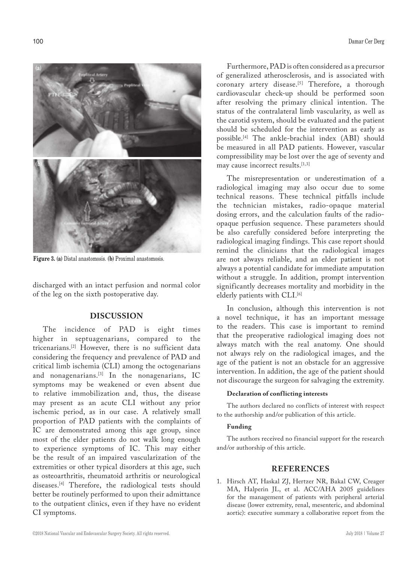

**Figure 3. (a)** Distal anastomosis. **(b)** Proximal anastomosis.

discharged with an intact perfusion and normal color of the leg on the sixth postoperative day.

# **DISCUSSION**

The incidence of PAD is eight times higher in septuagenarians, compared to the tricenarians.[2] However, there is no sufficient data considering the frequency and prevalence of PAD and critical limb ischemia (CLI) among the octogenarians and nonagenarians.<sup>[3]</sup> In the nonagenarians, IC symptoms may be weakened or even absent due to relative immobilization and, thus, the disease may present as an acute CLI without any prior ischemic period, as in our case. A relatively small proportion of PAD patients with the complaints of IC are demonstrated among this age group, since most of the elder patients do not walk long enough to experience symptoms of IC. This may either be the result of an impaired vascularization of the extremities or other typical disorders at this age, such as osteoarthritis, rheumatoid arthritis or neurological diseases.[4] Therefore, the radiological tests should better be routinely performed to upon their admittance to the outpatient clinics, even if they have no evident CI symptoms.

Furthermore, PAD is often considered as a precursor of generalized atherosclerosis, and is associated with coronary artery disease.<sup>[5]</sup> Therefore, a thorough cardiovascular check-up should be performed soon after resolving the primary clinical intention. The status of the contralateral limb vascularity, as well as the carotid system, should be evaluated and the patient should be scheduled for the intervention as early as possible.[4] The ankle-brachial index (ABI) should be measured in all PAD patients. However, vascular compressibility may be lost over the age of seventy and may cause incorrect results.<sup>[1,3]</sup>

The misrepresentation or underestimation of a radiological imaging may also occur due to some technical reasons. These technical pitfalls include the technician mistakes, radio-opaque material dosing errors, and the calculation faults of the radioopaque perfusion sequence. These parameters should be also carefully considered before interpreting the radiological imaging findings. This case report should remind the clinicians that the radiological images are not always reliable, and an elder patient is not always a potential candidate for immediate amputation without a struggle. In addition, prompt intervention significantly decreases mortality and morbidity in the elderly patients with CLI.<sup>[6]</sup>

In conclusion, although this intervention is not a novel technique, it has an important message to the readers. This case is important to remind that the preoperative radiological imaging does not always match with the real anatomy. One should not always rely on the radiological images, and the age of the patient is not an obstacle for an aggressive intervention. In addition, the age of the patient should not discourage the surgeon for salvaging the extremity.

## **Declaration of conflicting interests**

The authors declared no conflicts of interest with respect to the authorship and/or publication of this article.

#### **Funding**

The authors received no financial support for the research and/or authorship of this article.

### **REFERENCES**

1. Hirsch AT, Haskal ZJ, Hertzer NR, Bakal CW, Creager MA, Halperin JL, et al. ACC/AHA 2005 guidelines for the management of patients with peripheral arterial disease (lower extremity, renal, mesenteric, and abdominal aortic): executive summary a collaborative report from the